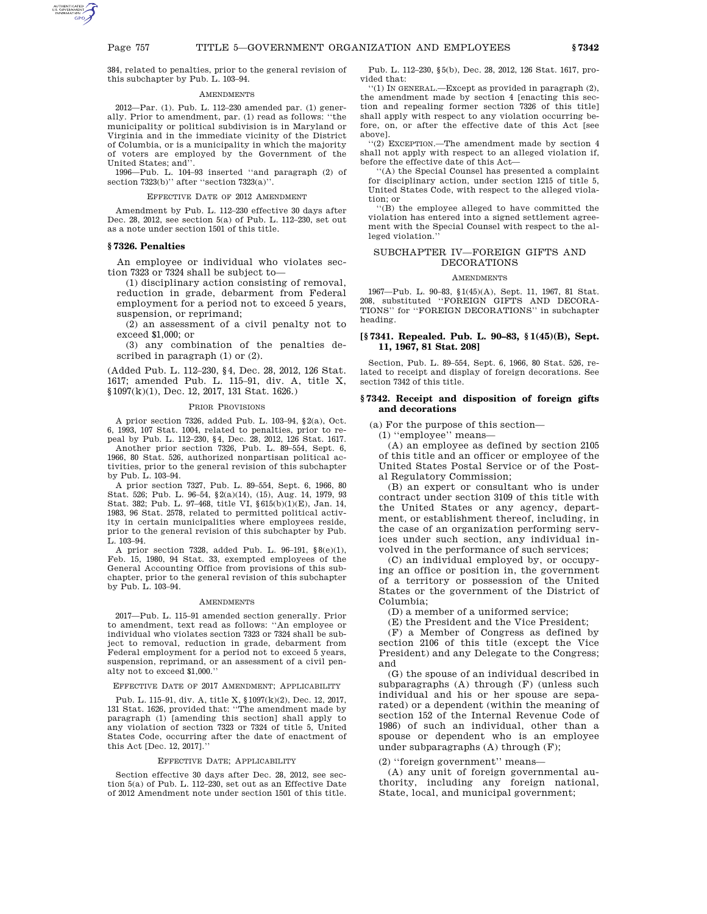384, related to penalties, prior to the general revision of this subchapter by Pub. L. 103–94.

# **AMENDMENTS**

2012—Par. (1). Pub. L. 112–230 amended par. (1) generally. Prior to amendment, par. (1) read as follows: ''the municipality or political subdivision is in Maryland or Virginia and in the immediate vicinity of the District of Columbia, or is a municipality in which the majority of voters are employed by the Government of the United States; and''.

1996—Pub. L. 104–93 inserted ''and paragraph (2) of section 7323(b)'' after ''section 7323(a)''.

# EFFECTIVE DATE OF 2012 AMENDMENT

Amendment by Pub. L. 112–230 effective 30 days after Dec. 28, 2012, see section 5(a) of Pub. L. 112–230, set out as a note under section 1501 of this title.

# **§ 7326. Penalties**

An employee or individual who violates section 7323 or 7324 shall be subject to—

(1) disciplinary action consisting of removal, reduction in grade, debarment from Federal employment for a period not to exceed 5 years, suspension, or reprimand;

(2) an assessment of a civil penalty not to exceed \$1,000; or

(3) any combination of the penalties described in paragraph (1) or (2).

(Added Pub. L. 112–230, §4, Dec. 28, 2012, 126 Stat. 1617; amended Pub. L. 115–91, div. A, title X, §1097(k)(1), Dec. 12, 2017, 131 Stat. 1626.)

#### PRIOR PROVISIONS

A prior section 7326, added Pub. L. 103–94, §2(a), Oct. 6, 1993, 107 Stat. 1004, related to penalties, prior to repeal by Pub. L. 112–230, §4, Dec. 28, 2012, 126 Stat. 1617. Another prior section 7326, Pub. L. 89–554, Sept. 6,

1966, 80 Stat. 526, authorized nonpartisan political activities, prior to the general revision of this subchapter by Pub. L. 103–94.

A prior section 7327, Pub. L. 89–554, Sept. 6, 1966, 80 Stat. 526; Pub. L. 96–54, §2(a)(14), (15), Aug. 14, 1979, 93 Stat. 382; Pub. L. 97–468, title VI, §615(b)(1)(E), Jan. 14, 1983, 96 Stat. 2578, related to permitted political activity in certain municipalities where employees reside, prior to the general revision of this subchapter by Pub. L. 103–94.

A prior section 7328, added Pub. L. 96–191, §8(e)(1), Feb. 15, 1980, 94 Stat. 33, exempted employees of the General Accounting Office from provisions of this subchapter, prior to the general revision of this subchapter by Pub. L. 103–94.

# AMENDMENTS

2017—Pub. L. 115–91 amended section generally. Prior to amendment, text read as follows: ''An employee or individual who violates section 7323 or 7324 shall be subject to removal, reduction in grade, debarment from Federal employment for a period not to exceed 5 years, suspension, reprimand, or an assessment of a civil penalty not to exceed \$1,000.''

### EFFECTIVE DATE OF 2017 AMENDMENT; APPLICABILITY

Pub. L. 115–91, div. A, title X, §1097(k)(2), Dec. 12, 2017, 131 Stat. 1626, provided that: ''The amendment made by paragraph (1) [amending this section] shall apply to any violation of section 7323 or 7324 of title 5, United States Code, occurring after the date of enactment of this Act [Dec. 12, 2017].

# EFFECTIVE DATE; APPLICABILITY

Section effective 30 days after Dec. 28, 2012, see section 5(a) of Pub. L. 112–230, set out as an Effective Date of 2012 Amendment note under section 1501 of this title.

Pub. L. 112–230, §5(b), Dec. 28, 2012, 126 Stat. 1617, provided that:

''(1) IN GENERAL.—Except as provided in paragraph (2), the amendment made by section 4 [enacting this section and repealing former section 7326 of this title] shall apply with respect to any violation occurring before, on, or after the effective date of this Act [see above].

''(2) EXCEPTION.—The amendment made by section 4 shall not apply with respect to an alleged violation if, before the effective date of this Act—

''(A) the Special Counsel has presented a complaint for disciplinary action, under section 1215 of title 5, United States Code, with respect to the alleged violation; or

''(B) the employee alleged to have committed the violation has entered into a signed settlement agreement with the Special Counsel with respect to the alleged violation.''

# SUBCHAPTER IV—FOREIGN GIFTS AND DECORATIONS

#### **AMENDMENTS**

1967—Pub. L. 90–83, §1(45)(A), Sept. 11, 1967, 81 Stat. 208, substituted ''FOREIGN GIFTS AND DECORA-TIONS'' for ''FOREIGN DECORATIONS'' in subchapter heading.

# **[§ 7341. Repealed. Pub. L. 90–83, § 1(45)(B), Sept. 11, 1967, 81 Stat. 208]**

Section, Pub. L. 89–554, Sept. 6, 1966, 80 Stat. 526, related to receipt and display of foreign decorations. See section 7342 of this title.

# **§ 7342. Receipt and disposition of foreign gifts and decorations**

(a) For the purpose of this section—

(1) ''employee'' means—

(A) an employee as defined by section 2105 of this title and an officer or employee of the United States Postal Service or of the Postal Regulatory Commission;

(B) an expert or consultant who is under contract under section 3109 of this title with the United States or any agency, department, or establishment thereof, including, in the case of an organization performing services under such section, any individual involved in the performance of such services;

(C) an individual employed by, or occupying an office or position in, the government of a territory or possession of the United States or the government of the District of Columbia;

(D) a member of a uniformed service;

(E) the President and the Vice President;

(F) a Member of Congress as defined by section 2106 of this title (except the Vice President) and any Delegate to the Congress; and

(G) the spouse of an individual described in subparagraphs (A) through (F) (unless such individual and his or her spouse are separated) or a dependent (within the meaning of section 152 of the Internal Revenue Code of 1986) of such an individual, other than a spouse or dependent who is an employee under subparagraphs (A) through (F);

(2) ''foreign government'' means—

(A) any unit of foreign governmental authority, including any foreign national, State, local, and municipal government;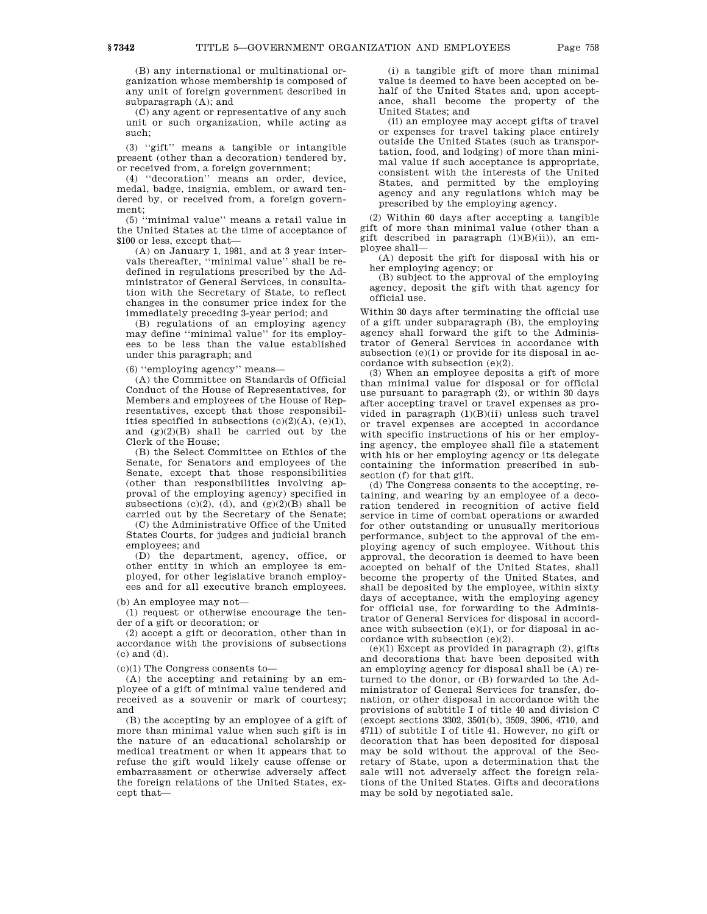(B) any international or multinational organization whose membership is composed of any unit of foreign government described in subparagraph (A); and

(C) any agent or representative of any such unit or such organization, while acting as such;

(3) ''gift'' means a tangible or intangible present (other than a decoration) tendered by, or received from, a foreign government;

(4) ''decoration'' means an order, device, medal, badge, insignia, emblem, or award tendered by, or received from, a foreign government;

(5) ''minimal value'' means a retail value in the United States at the time of acceptance of \$100 or less, except that—

(A) on January 1, 1981, and at 3 year intervals thereafter, ''minimal value'' shall be redefined in regulations prescribed by the Administrator of General Services, in consultation with the Secretary of State, to reflect changes in the consumer price index for the immediately preceding 3-year period; and

(B) regulations of an employing agency may define ''minimal value'' for its employees to be less than the value established under this paragraph; and

(6) ''employing agency'' means—

(A) the Committee on Standards of Official Conduct of the House of Representatives, for Members and employees of the House of Representatives, except that those responsibilities specified in subsections  $(c)(2)(A)$ ,  $(e)(1)$ , and (g)(2)(B) shall be carried out by the Clerk of the House;

(B) the Select Committee on Ethics of the Senate, for Senators and employees of the Senate, except that those responsibilities (other than responsibilities involving approval of the employing agency) specified in subsections  $(c)(2)$ ,  $(d)$ , and  $(g)(2)(B)$  shall be carried out by the Secretary of the Senate;

(C) the Administrative Office of the United States Courts, for judges and judicial branch employees; and

(D) the department, agency, office, or other entity in which an employee is employed, for other legislative branch employees and for all executive branch employees.

(b) An employee may not—

(1) request or otherwise encourage the tender of a gift or decoration; or

(2) accept a gift or decoration, other than in accordance with the provisions of subsections (c) and (d).

 $(c)(1)$  The Congress consents to-

(A) the accepting and retaining by an employee of a gift of minimal value tendered and received as a souvenir or mark of courtesy; and

(B) the accepting by an employee of a gift of more than minimal value when such gift is in the nature of an educational scholarship or medical treatment or when it appears that to refuse the gift would likely cause offense or embarrassment or otherwise adversely affect the foreign relations of the United States, except that—

(i) a tangible gift of more than minimal value is deemed to have been accepted on behalf of the United States and, upon acceptance, shall become the property of the United States; and

(ii) an employee may accept gifts of travel or expenses for travel taking place entirely outside the United States (such as transportation, food, and lodging) of more than minimal value if such acceptance is appropriate, consistent with the interests of the United States, and permitted by the employing agency and any regulations which may be prescribed by the employing agency.

(2) Within 60 days after accepting a tangible gift of more than minimal value (other than a gift described in paragraph (1)(B)(ii)), an employee shall—

(A) deposit the gift for disposal with his or her employing agency; or

(B) subject to the approval of the employing agency, deposit the gift with that agency for official use.

Within 30 days after terminating the official use of a gift under subparagraph (B), the employing agency shall forward the gift to the Administrator of General Services in accordance with subsection (e)(1) or provide for its disposal in accordance with subsection (e)(2).

(3) When an employee deposits a gift of more than minimal value for disposal or for official use pursuant to paragraph  $(2)$ , or within 30 days after accepting travel or travel expenses as provided in paragraph (1)(B)(ii) unless such travel or travel expenses are accepted in accordance with specific instructions of his or her employing agency, the employee shall file a statement with his or her employing agency or its delegate containing the information prescribed in subsection (f) for that gift.

(d) The Congress consents to the accepting, retaining, and wearing by an employee of a decoration tendered in recognition of active field service in time of combat operations or awarded for other outstanding or unusually meritorious performance, subject to the approval of the employing agency of such employee. Without this approval, the decoration is deemed to have been accepted on behalf of the United States, shall become the property of the United States, and shall be deposited by the employee, within sixty days of acceptance, with the employing agency for official use, for forwarding to the Administrator of General Services for disposal in accordance with subsection (e)(1), or for disposal in accordance with subsection (e)(2).

(e)(1) Except as provided in paragraph (2), gifts and decorations that have been deposited with an employing agency for disposal shall be (A) returned to the donor, or (B) forwarded to the Administrator of General Services for transfer, donation, or other disposal in accordance with the provisions of subtitle I of title 40 and division C (except sections 3302, 3501(b), 3509, 3906, 4710, and 4711) of subtitle I of title 41. However, no gift or decoration that has been deposited for disposal may be sold without the approval of the Secretary of State, upon a determination that the sale will not adversely affect the foreign relations of the United States. Gifts and decorations may be sold by negotiated sale.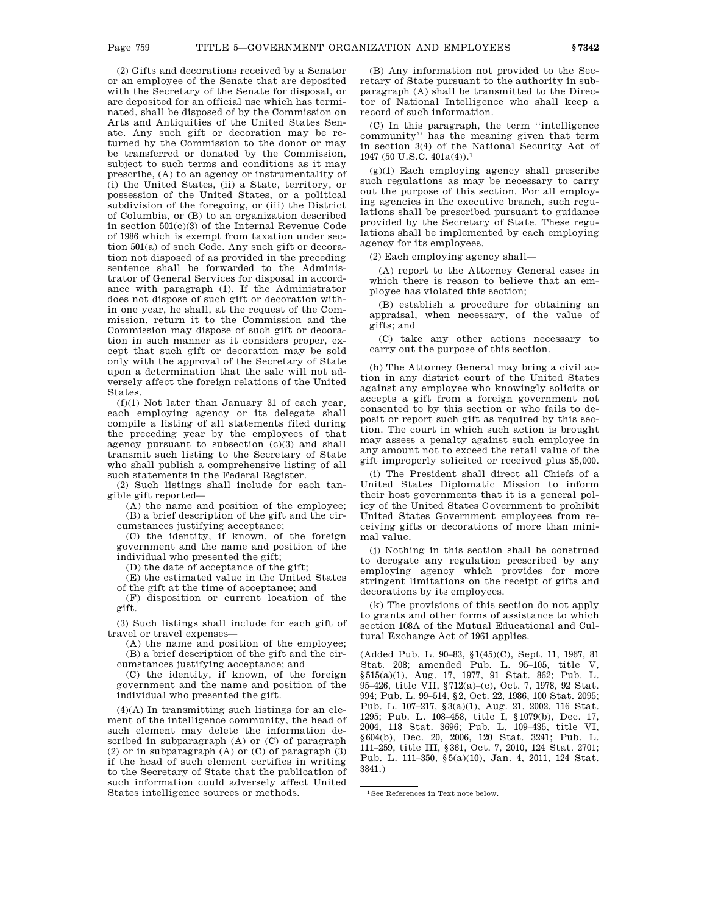(2) Gifts and decorations received by a Senator or an employee of the Senate that are deposited with the Secretary of the Senate for disposal, or are deposited for an official use which has terminated, shall be disposed of by the Commission on Arts and Antiquities of the United States Senate. Any such gift or decoration may be returned by the Commission to the donor or may be transferred or donated by the Commission, subject to such terms and conditions as it may prescribe, (A) to an agency or instrumentality of (i) the United States, (ii) a State, territory, or possession of the United States, or a political subdivision of the foregoing, or (iii) the District of Columbia, or (B) to an organization described in section 501(c)(3) of the Internal Revenue Code of 1986 which is exempt from taxation under section 501(a) of such Code. Any such gift or decoration not disposed of as provided in the preceding sentence shall be forwarded to the Administrator of General Services for disposal in accordance with paragraph (1). If the Administrator does not dispose of such gift or decoration within one year, he shall, at the request of the Commission, return it to the Commission and the Commission may dispose of such gift or decoration in such manner as it considers proper, except that such gift or decoration may be sold only with the approval of the Secretary of State upon a determination that the sale will not adversely affect the foreign relations of the United States.

(f)(1) Not later than January 31 of each year, each employing agency or its delegate shall compile a listing of all statements filed during the preceding year by the employees of that agency pursuant to subsection (c)(3) and shall transmit such listing to the Secretary of State who shall publish a comprehensive listing of all such statements in the Federal Register.

(2) Such listings shall include for each tangible gift reported—

(A) the name and position of the employee; (B) a brief description of the gift and the circumstances justifying acceptance;

(C) the identity, if known, of the foreign government and the name and position of the individual who presented the gift;

(D) the date of acceptance of the gift;

(E) the estimated value in the United States of the gift at the time of acceptance; and

(F) disposition or current location of the gift.

(3) Such listings shall include for each gift of travel or travel expenses—

(A) the name and position of the employee; (B) a brief description of the gift and the circumstances justifying acceptance; and

(C) the identity, if known, of the foreign government and the name and position of the individual who presented the gift.

 $(4)(A)$  In transmitting such listings for an element of the intelligence community, the head of such element may delete the information described in subparagraph (A) or (C) of paragraph (2) or in subparagraph (A) or (C) of paragraph (3) if the head of such element certifies in writing to the Secretary of State that the publication of such information could adversely affect United States intelligence sources or methods.

(B) Any information not provided to the Secretary of State pursuant to the authority in subparagraph (A) shall be transmitted to the Director of National Intelligence who shall keep a record of such information.

(C) In this paragraph, the term ''intelligence community'' has the meaning given that term in section 3(4) of the National Security Act of 1947 (50 U.S.C. 401a(4)).1

(g)(1) Each employing agency shall prescribe such regulations as may be necessary to carry out the purpose of this section. For all employing agencies in the executive branch, such regulations shall be prescribed pursuant to guidance provided by the Secretary of State. These regulations shall be implemented by each employing agency for its employees.

(2) Each employing agency shall—

(A) report to the Attorney General cases in which there is reason to believe that an employee has violated this section;

(B) establish a procedure for obtaining an appraisal, when necessary, of the value of gifts; and

(C) take any other actions necessary to carry out the purpose of this section.

(h) The Attorney General may bring a civil action in any district court of the United States against any employee who knowingly solicits or accepts a gift from a foreign government not consented to by this section or who fails to deposit or report such gift as required by this section. The court in which such action is brought may assess a penalty against such employee in any amount not to exceed the retail value of the gift improperly solicited or received plus \$5,000.

(i) The President shall direct all Chiefs of a United States Diplomatic Mission to inform their host governments that it is a general policy of the United States Government to prohibit United States Government employees from receiving gifts or decorations of more than minimal value.

(j) Nothing in this section shall be construed to derogate any regulation prescribed by any employing agency which provides for more stringent limitations on the receipt of gifts and decorations by its employees.

(k) The provisions of this section do not apply to grants and other forms of assistance to which section 108A of the Mutual Educational and Cultural Exchange Act of 1961 applies.

(Added Pub. L. 90–83, §1(45)(C), Sept. 11, 1967, 81 Stat. 208; amended Pub. L. 95–105, title V, §515(a)(1), Aug. 17, 1977, 91 Stat. 862; Pub. L. 95–426, title VII, §712(a)–(c), Oct. 7, 1978, 92 Stat. 994; Pub. L. 99–514, §2, Oct. 22, 1986, 100 Stat. 2095; Pub. L. 107–217, §3(a)(1), Aug. 21, 2002, 116 Stat. 1295; Pub. L. 108–458, title I, §1079(b), Dec. 17, 2004, 118 Stat. 3696; Pub. L. 109–435, title VI, §604(b), Dec. 20, 2006, 120 Stat. 3241; Pub. L. 111–259, title III, §361, Oct. 7, 2010, 124 Stat. 2701; Pub. L. 111–350, §5(a)(10), Jan. 4, 2011, 124 Stat. 3841.)

1See References in Text note below.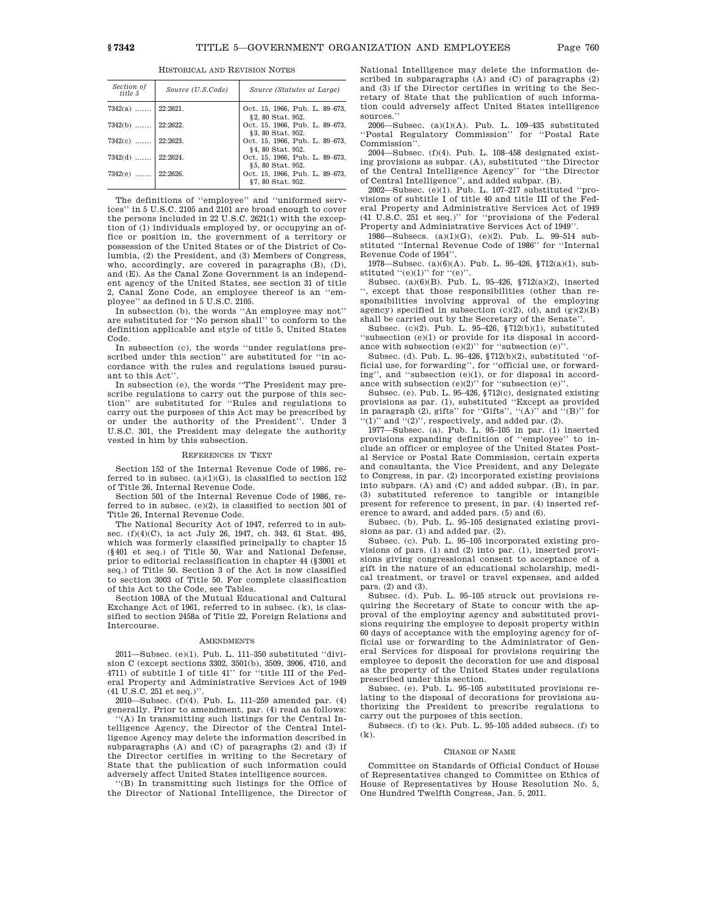| Section of<br>title 5 | Source (U.S.Code) | Source (Statutes at Large)                          |
|-----------------------|-------------------|-----------------------------------------------------|
| $7342(a)$   22:2621.  |                   | Oct. 15, 1966, Pub. L. 89-673,<br>§2, 80 Stat. 952. |
| $7342(b)$ 22:2622.    |                   | Oct. 15, 1966, Pub. L. 89-673,<br>§3, 80 Stat. 952. |
| $7342(c)$ 22:2623.    |                   | Oct. 15, 1966, Pub. L. 89-673,<br>§4, 80 Stat. 952. |
| $7342(d)$   22:2624.  |                   | Oct. 15, 1966, Pub. L. 89-673,<br>§5, 80 Stat. 952. |
| $7342(e)$   22:2626.  |                   | Oct. 15, 1966, Pub. L. 89-673,<br>§7, 80 Stat. 952. |

HISTORICAL AND REVISION NOTES

The definitions of ''employee'' and ''uniformed services'' in 5 U.S.C. 2105 and 2101 are broad enough to cover the persons included in 22 U.S.C. 2621(1) with the exception of (1) individuals employed by, or occupying an office or position in, the government of a territory or possession of the United States or of the District of Columbia, (2) the President, and (3) Members of Congress, who, accordingly, are covered in paragraphs (B), (D), and (E). As the Canal Zone Government is an independent agency of the United States, see section 31 of title 2, Canal Zone Code, an employee thereof is an ''employee'' as defined in 5 U.S.C. 2105.

In subsection (b), the words ''An employee may not'' are substituted for ''No person shall'' to conform to the definition applicable and style of title 5, United States Code.

In subsection (c), the words ''under regulations prescribed under this section" are substituted for "in accordance with the rules and regulations issued pursuant to this Act''.

In subsection (e), the words ''The President may prescribe regulations to carry out the purpose of this section'' are substituted for ''Rules and regulations to carry out the purposes of this Act may be prescribed by or under the authority of the President''. Under 3 U.S.C. 301, the President may delegate the authority vested in him by this subsection.

#### REFERENCES IN TEXT

Section 152 of the Internal Revenue Code of 1986, referred to in subsec.  $(a)(1)(G)$ , is classified to section 152 of Title 26, Internal Revenue Code.

Section 501 of the Internal Revenue Code of 1986, referred to in subsec. (e)(2), is classified to section 501 of Title 26, Internal Revenue Code.

The National Security Act of 1947, referred to in subsec. (f)(4)(C), is act July 26, 1947, ch. 343, 61 Stat. 495, which was formerly classified principally to chapter 15 (§401 et seq.) of Title 50, War and National Defense, prior to editorial reclassification in chapter 44 (§3001 et seq.) of Title 50. Section 3 of the Act is now classified to section 3003 of Title 50. For complete classification of this Act to the Code, see Tables.

Section 108A of the Mutual Educational and Cultural Exchange Act of 1961, referred to in subsec. (k), is classified to section 2458a of Title 22, Foreign Relations and Intercourse.

#### **AMENDMENTS**

2011—Subsec. (e)(1). Pub. L. 111–350 substituted ''division C (except sections 3302, 3501(b), 3509, 3906, 4710, and 4711) of subtitle I of title 41'' for ''title III of the Federal Property and Administrative Services Act of 1949 (41 U.S.C. 251 et seq.)''.

2010—Subsec. (f)(4). Pub. L. 111–259 amended par. (4) generally. Prior to amendment, par. (4) read as follows:

'(A) In transmitting such listings for the Central Intelligence Agency, the Director of the Central Intelligence Agency may delete the information described in subparagraphs (A) and (C) of paragraphs (2) and (3) if the Director certifies in writing to the Secretary of State that the publication of such information could adversely affect United States intelligence sources.

''(B) In transmitting such listings for the Office of the Director of National Intelligence, the Director of National Intelligence may delete the information described in subparagraphs (A) and (C) of paragraphs (2) and (3) if the Director certifies in writing to the Secretary of State that the publication of such information could adversely affect United States intelligence sources.

2006—Subsec. (a)(1)(A). Pub. L. 109–435 substituted ''Postal Regulatory Commission'' for ''Postal Rate Commission''.

2004—Subsec. (f)(4). Pub. L. 108–458 designated existing provisions as subpar. (A), substituted ''the Director of the Central Intelligence Agency'' for ''the Director of Central Intelligence'', and added subpar. (B).

2002—Subsec. (e)(1). Pub. L. 107–217 substituted ''provisions of subtitle I of title 40 and title III of the Federal Property and Administrative Services Act of 1949 (41 U.S.C. 251 et seq.)'' for ''provisions of the Federal Property and Administrative Services Act of 1949''.

1986—Subsecs. (a)(1)(G), (e)(2). Pub. L. 99–514 substituted ''Internal Revenue Code of 1986'' for ''Internal Revenue Code of 1954''.

1978—Subsec. (a)(6)(A). Pub. L. 95–426, §712(a)(1), substituted  $((e)(1))$  for  $((e))$ .

Subsec. (a)(6)(B). Pub. L. 95–426, §712(a)(2), inserted '', except that those responsibilities (other than responsibilities involving approval of the employing agency) specified in subsection  $(c)(2)$ ,  $(d)$ , and  $(g)(2)(B)$ shall be carried out by the Secretary of the Senate''.

Subsec. (c)(2). Pub. L. 95–426, §712(b)(1), substituted ''subsection (e)(1) or provide for its disposal in accordance with subsection  $(e)(2)$ " for "subsection  $(e)$ ".

Subsec. (d). Pub. L. 95–426, §712(b)(2), substituted ''official use, for forwarding'', for ''official use, or forwarding'', and ''subsection (e)(1), or for disposal in accordance with subsection  $(e)(2)$ " for "subsection  $(e)$ "

Subsec. (e). Pub. L. 95–426, §712(c), designated existing provisions as par. (1), substituted ''Except as provided in paragraph (2), gifts'' for ''Gifts'', ''(A)'' and ''(B)'' for  $'(1)$ " and  $''(2)$ ", respectively, and added par. (2).

1977—Subsec. (a). Pub. L. 95–105 in par. (1) inserted provisions expanding definition of ''employee'' to include an officer or employee of the United States Postal Service or Postal Rate Commission, certain experts and consultants, the Vice President, and any Delegate to Congress, in par. (2) incorporated existing provisions into subpars. (A) and (C) and added subpar. (B), in par. (3) substituted reference to tangible or intangible present for reference to present, in par. (4) inserted reference to award, and added pars. (5) and (6).

Subsec. (b). Pub. L. 95–105 designated existing provisions as par. (1) and added par. (2).

Subsec. (c). Pub. L. 95–105 incorporated existing provisions of pars. (1) and (2) into par. (1), inserted provisions giving congressional consent to acceptance of a gift in the nature of an educational scholarship, medical treatment, or travel or travel expenses, and added pars. (2) and (3).

Subsec. (d). Pub. L. 95–105 struck out provisions requiring the Secretary of State to concur with the approval of the employing agency and substituted provisions requiring the employee to deposit property within 60 days of acceptance with the employing agency for official use or forwarding to the Administrator of General Services for disposal for provisions requiring the employee to deposit the decoration for use and disposal as the property of the United States under regulations prescribed under this section.

Subsec. (e). Pub. L. 95–105 substituted provisions relating to the disposal of decorations for provisions authorizing the President to prescribe regulations to carry out the purposes of this section.

Subsecs. (f) to (k). Pub. L. 95–105 added subsecs. (f) to (k).

#### CHANGE OF NAME

Committee on Standards of Official Conduct of House of Representatives changed to Committee on Ethics of House of Representatives by House Resolution No. 5, One Hundred Twelfth Congress, Jan. 5, 2011.